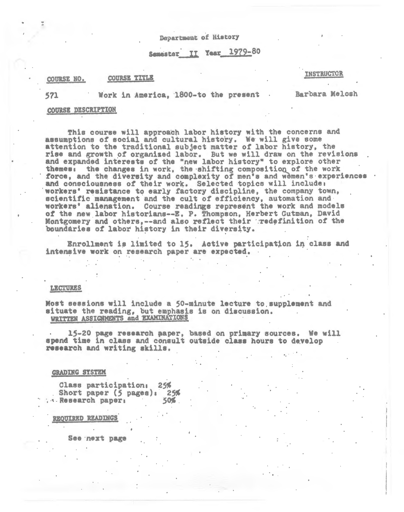Department of History

Semester II Year 1979-80

#### **COURSE TITLE** COURSE NO.

## **INSTRUCTOR**

571

Work in America, 1800-to the present

Barbara Melosh

## COURSE DESCRIPTION

This course will approach labor history with the concerns and assumptions of social and cultural history. We will give some attention to the traditional subject matter of labor history, the rise and growth of organized labor. But we will draw on the revisions and expanded interests of the "new labor history" to explore other themes: the changes in work, the shifting composition of the work force, and the diversity and complexity of men's and wemen's experiences and consciousness of their work. Selected topics will include: workers' resistance to early factory discipline, the company town, scientific management and the cult of efficiency, automation and workers' alienation. Course readings represent the work and models of the new labor historians--E. P. Thompson, Herbert Gutman, David Montgomery and others, -- and also reflect their redefinition of the boundaries of labor history in their diversity.

Enrollment is limited to 15. Active participation in class and intensive work on research paper are expected.

#### **LEGTURES**

Most sessions will include a 50-minute lecture to supplement and situate the reading, but emphasis is on discussion.<br>WRITTEN ASSIGNMENTS and EXAMINATIONS

15-20 page research paper, based on primary sources. We will spend time in class and consult outside class hours to develop research and writing skills.

# **GRADING SYSTEM**

Class participation:  $25%$ Short paper  $(5 \text{ pages})$ : 25% . . Research paper: 50%

REOUIRED READINGS

See next page